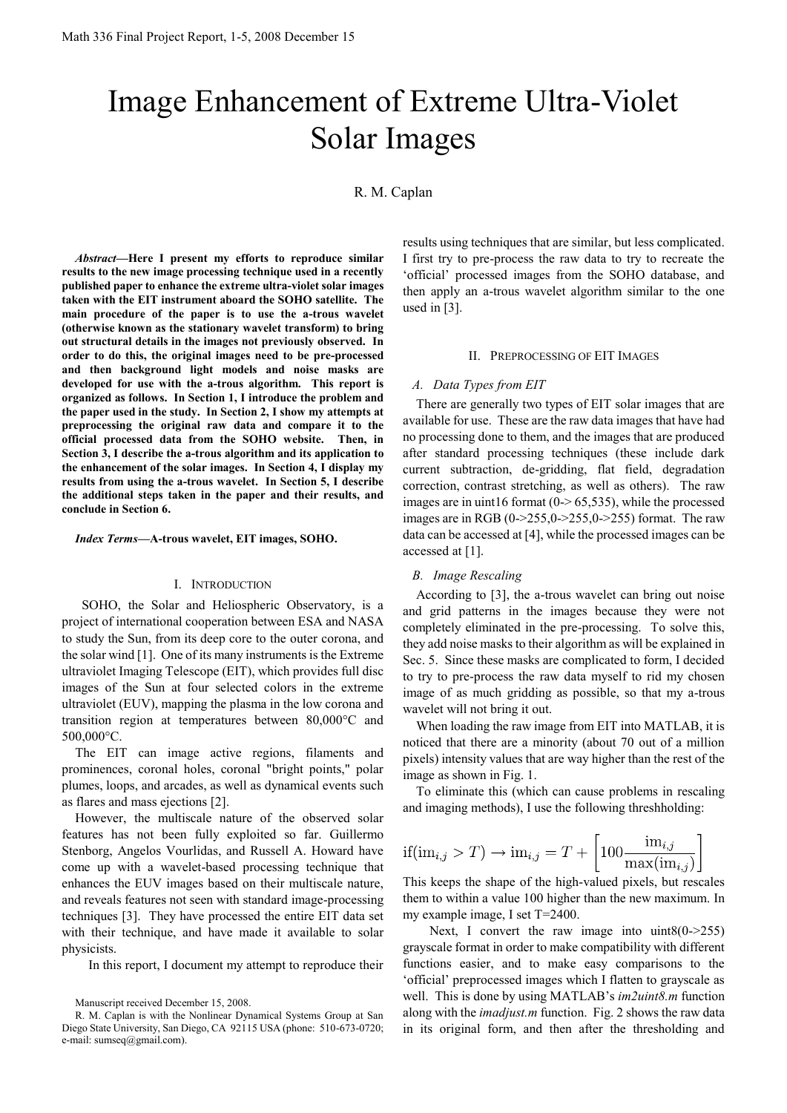# Image Enhancement of Extreme Ultra-Violet Solar Images

R. M. Caplan

*Abstract***—Here I present my efforts to reproduce similar results to the new image processing technique used in a recently published paper to enhance the extreme ultra-violet solar images taken with the EIT instrument aboard the SOHO satellite. The main procedure of the paper is to use the a-trous wavelet (otherwise known as the stationary wavelet transform) to bring out structural details in the images not previously observed. In order to do this, the original images need to be pre-processed and then background light models and noise masks are developed for use with the a-trous algorithm. This report is organized as follows. In Section 1, I introduce the problem and the paper used in the study. In Section 2, I show my attempts at preprocessing the original raw data and compare it to the official processed data from the SOHO website. Then, in Section 3, I describe the a-trous algorithm and its application to the enhancement of the solar images. In Section 4, I display my results from using the a-trous wavelet. In Section 5, I describe the additional steps taken in the paper and their results, and conclude in Section 6.**

*Index Terms***—A-trous wavelet, EIT images, SOHO.** 

#### I. INTRODUCTION

 SOHO, the Solar and Heliospheric Observatory, is a project of international cooperation between ESA and NASA to study the Sun, from its deep core to the outer corona, and the solar wind [1]. One of its many instruments is the Extreme ultraviolet Imaging Telescope (EIT), which provides full disc images of the Sun at four selected colors in the extreme ultraviolet (EUV), mapping the plasma in the low corona and transition region at temperatures between 80,000°C and 500,000°C.

The EIT can image active regions, filaments and prominences, coronal holes, coronal "bright points," polar plumes, loops, and arcades, as well as dynamical events such as flares and mass ejections [2].

However, the multiscale nature of the observed solar features has not been fully exploited so far. Guillermo Stenborg, Angelos Vourlidas, and Russell A. Howard have come up with a wavelet-based processing technique that enhances the EUV images based on their multiscale nature, and reveals features not seen with standard image-processing techniques [3]. They have processed the entire EIT data set with their technique, and have made it available to solar physicists.

In this report, I document my attempt to reproduce their

results using techniques that are similar, but less complicated. I first try to pre-process the raw data to try to recreate the "official" processed images from the SOHO database, and then apply an a-trous wavelet algorithm similar to the one used in [3].

#### II. PREPROCESSING OF EIT IMAGES

## *A. Data Types from EIT*

There are generally two types of EIT solar images that are available for use. These are the raw data images that have had no processing done to them, and the images that are produced after standard processing techniques (these include dark current subtraction, de-gridding, flat field, degradation correction, contrast stretching, as well as others). The raw images are in uint16 format  $(0-65,535)$ , while the processed images are in RGB  $(0-255,0-255,0-255)$  format. The raw data can be accessed at [4], while the processed images can be accessed at [1].

## *B. Image Rescaling*

According to [3], the a-trous wavelet can bring out noise and grid patterns in the images because they were not completely eliminated in the pre-processing. To solve this, they add noise masks to their algorithm as will be explained in Sec. 5. Since these masks are complicated to form, I decided to try to pre-process the raw data myself to rid my chosen image of as much gridding as possible, so that my a-trous wavelet will not bring it out.

When loading the raw image from EIT into MATLAB, it is noticed that there are a minority (about 70 out of a million pixels) intensity values that are way higher than the rest of the image as shown in Fig. 1.

To eliminate this (which can cause problems in rescaling and imaging methods), I use the following threshholding:

$$
\text{if}(\text{im}_{i,j} > T) \to \text{im}_{i,j} = T + \left[100 \frac{\text{im}_{i,j}}{\text{max}(\text{im}_{i,j})}\right]
$$

This keeps the shape of the high-valued pixels, but rescales them to within a value 100 higher than the new maximum. In my example image, I set T=2400.

Next, I convert the raw image into  $uint8(0-255)$ grayscale format in order to make compatibility with different functions easier, and to make easy comparisons to the "official" preprocessed images which I flatten to grayscale as well. This is done by using MATLAB"s *im2uint8.m* function along with the *imadjust.m* function. Fig. 2 shows the raw data in its original form, and then after the thresholding and

Manuscript received December 15, 2008.

R. M. Caplan is with the Nonlinear Dynamical Systems Group at San Diego State University, San Diego, CA 92115 USA (phone: 510-673-0720; e-mail: sumseq@gmail.com).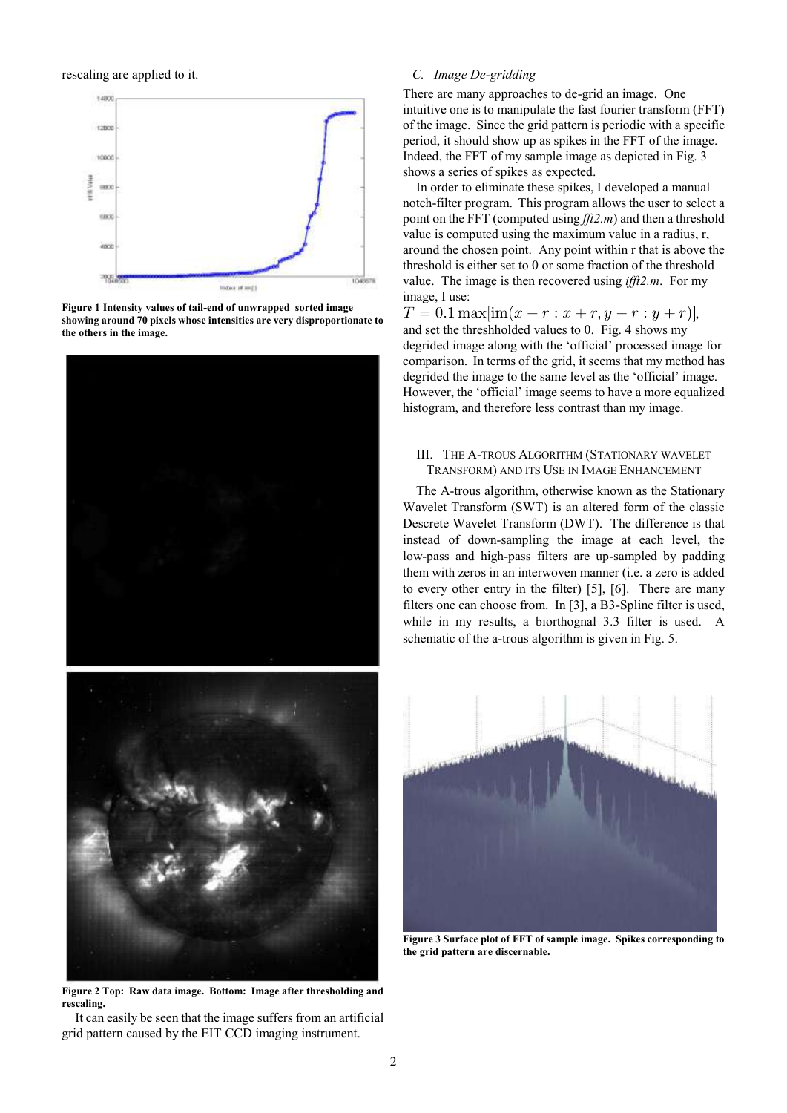rescaling are applied to it.



**Figure 1 Intensity values of tail-end of unwrapped sorted image showing around 70 pixels whose intensities are very disproportionate to the others in the image.**



**Figure 2 Top: Raw data image. Bottom: Image after thresholding and rescaling.**

It can easily be seen that the image suffers from an artificial grid pattern caused by the EIT CCD imaging instrument.

## *C. Image De-gridding*

There are many approaches to de-grid an image. One intuitive one is to manipulate the fast fourier transform (FFT) of the image. Since the grid pattern is periodic with a specific period, it should show up as spikes in the FFT of the image. Indeed, the FFT of my sample image as depicted in Fig. 3 shows a series of spikes as expected.

In order to eliminate these spikes, I developed a manual notch-filter program. This program allows the user to select a point on the FFT (computed using *fft2.m*) and then a threshold value is computed using the maximum value in a radius, r, around the chosen point. Any point within r that is above the threshold is either set to 0 or some fraction of the threshold value. The image is then recovered using *ifft2.m*. For my image, I use:

 $T = 0.1 \max[\text{im}(x - r : x + r, y - r : y + r)],$ and set the threshholded values to 0. Fig. 4 shows my degrided image along with the "official" processed image for comparison. In terms of the grid, it seems that my method has degrided the image to the same level as the 'official' image. However, the "official" image seems to have a more equalized histogram, and therefore less contrast than my image.

## III. THE A-TROUS ALGORITHM (STATIONARY WAVELET TRANSFORM) AND ITS USE IN IMAGE ENHANCEMENT

The A-trous algorithm, otherwise known as the Stationary Wavelet Transform (SWT) is an altered form of the classic Descrete Wavelet Transform (DWT). The difference is that instead of down-sampling the image at each level, the low-pass and high-pass filters are up-sampled by padding them with zeros in an interwoven manner (i.e. a zero is added to every other entry in the filter) [5], [6]. There are many filters one can choose from. In [3], a B3-Spline filter is used, while in my results, a biorthognal 3.3 filter is used. A schematic of the a-trous algorithm is given in Fig. 5.



**Figure 3 Surface plot of FFT of sample image. Spikes corresponding to the grid pattern are discernable.**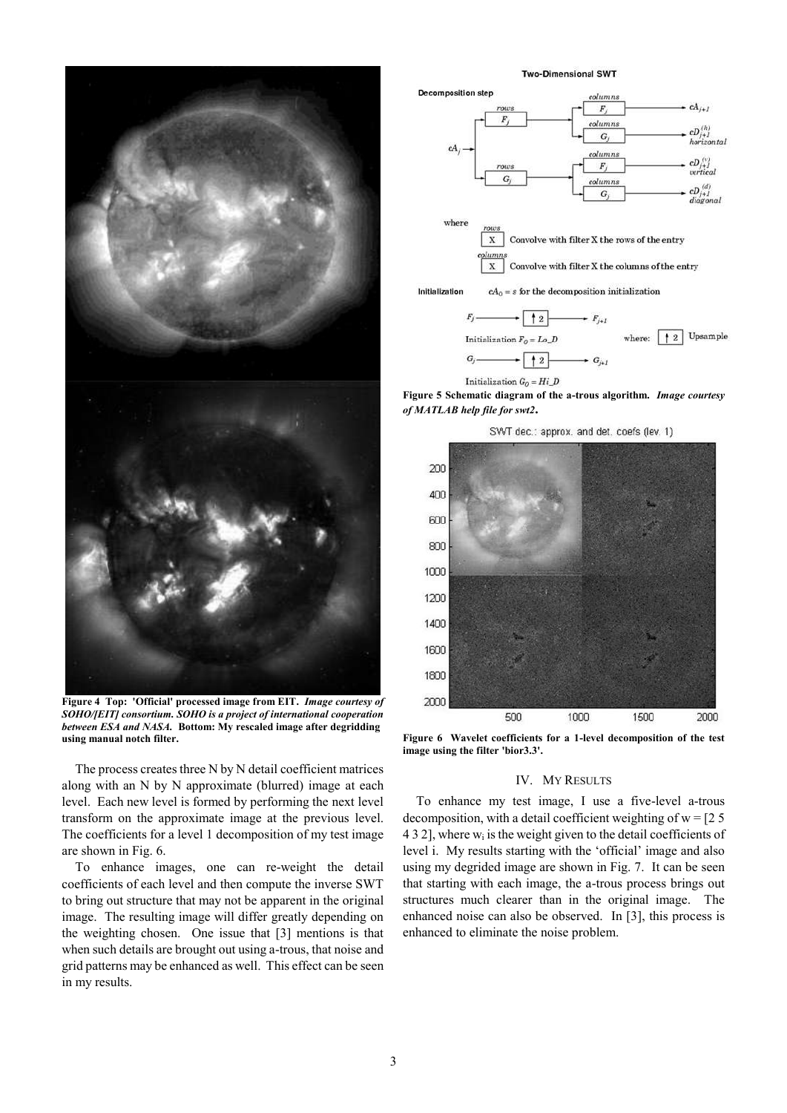

**Figure 4 Top: 'Official' processed image from EIT.** *Image courtesy of SOHO/[EIT] consortium. SOHO is a project of international cooperation between ESA and NASA.* **Bottom: My rescaled image after degridding using manual notch filter.**

The process creates three N by N detail coefficient matrices along with an N by N approximate (blurred) image at each level. Each new level is formed by performing the next level transform on the approximate image at the previous level. The coefficients for a level 1 decomposition of my test image are shown in Fig. 6.

To enhance images, one can re-weight the detail coefficients of each level and then compute the inverse SWT to bring out structure that may not be apparent in the original image. The resulting image will differ greatly depending on the weighting chosen. One issue that [3] mentions is that when such details are brought out using a-trous, that noise and grid patterns may be enhanced as well. This effect can be seen in my results.

**Two-Dimensional SWT** 



Initialization  $G_0 = Hi\_D$ **Figure 5 Schematic diagram of the a-trous algorithm.** *Image courtesy of MATLAB help file for swt2***.**

SWT dec.: approx, and det, coefs (lev, 1)



**Figure 6 Wavelet coefficients for a 1-level decomposition of the test image using the filter 'bior3.3'.**

#### IV. MY RESULTS

To enhance my test image, I use a five-level a-trous decomposition, with a detail coefficient weighting of  $w = 25$  $432$ ], where  $w<sub>i</sub>$  is the weight given to the detail coefficients of level i. My results starting with the 'official' image and also using my degrided image are shown in Fig. 7. It can be seen that starting with each image, the a-trous process brings out structures much clearer than in the original image. The enhanced noise can also be observed. In [3], this process is enhanced to eliminate the noise problem.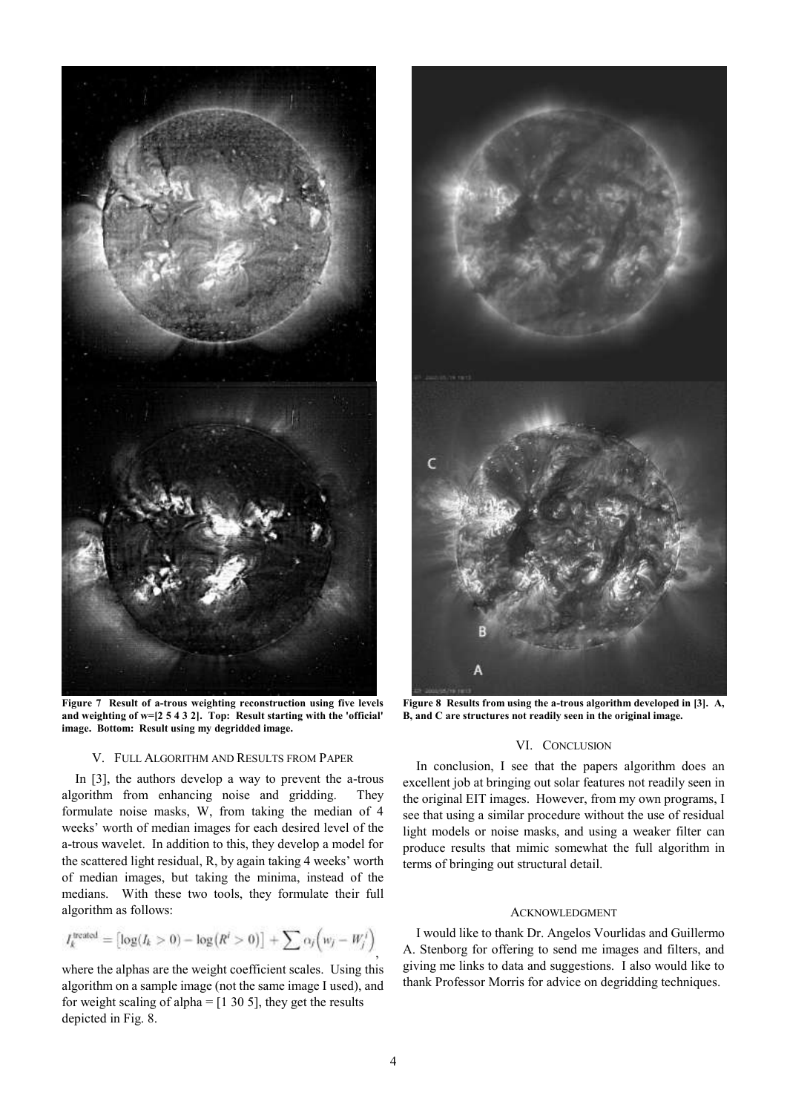

**Figure 7 Result of a-trous weighting reconstruction using five levels and weighting of w=[2 5 4 3 2]. Top: Result starting with the 'official' image. Bottom: Result using my degridded image.**

# V. FULL ALGORITHM AND RESULTS FROM PAPER

In [3], the authors develop a way to prevent the a-trous algorithm from enhancing noise and gridding. They formulate noise masks, W, from taking the median of 4 weeks' worth of median images for each desired level of the a-trous wavelet. In addition to this, they develop a model for the scattered light residual, R, by again taking 4 weeks" worth of median images, but taking the minima, instead of the medians. With these two tools, they formulate their full algorithm as follows:

$$
I_k^{\text{treated}} = \left[ \log(I_k > 0) - \log(R^i > 0) \right] + \sum \alpha_j \left( w_j - W_j^i \right)
$$

where the alphas are the weight coefficient scales. Using this algorithm on a sample image (not the same image I used), and for weight scaling of alpha  $=$  [1 30 5], they get the results depicted in Fig. 8.



**Figure 8 Results from using the a-trous algorithm developed in [3]. A, B, and C are structures not readily seen in the original image.**

## VI. CONCLUSION

In conclusion, I see that the papers algorithm does an excellent job at bringing out solar features not readily seen in the original EIT images. However, from my own programs, I see that using a similar procedure without the use of residual light models or noise masks, and using a weaker filter can produce results that mimic somewhat the full algorithm in terms of bringing out structural detail.

## ACKNOWLEDGMENT

I would like to thank Dr. Angelos Vourlidas and Guillermo A. Stenborg for offering to send me images and filters, and giving me links to data and suggestions. I also would like to thank Professor Morris for advice on degridding techniques.